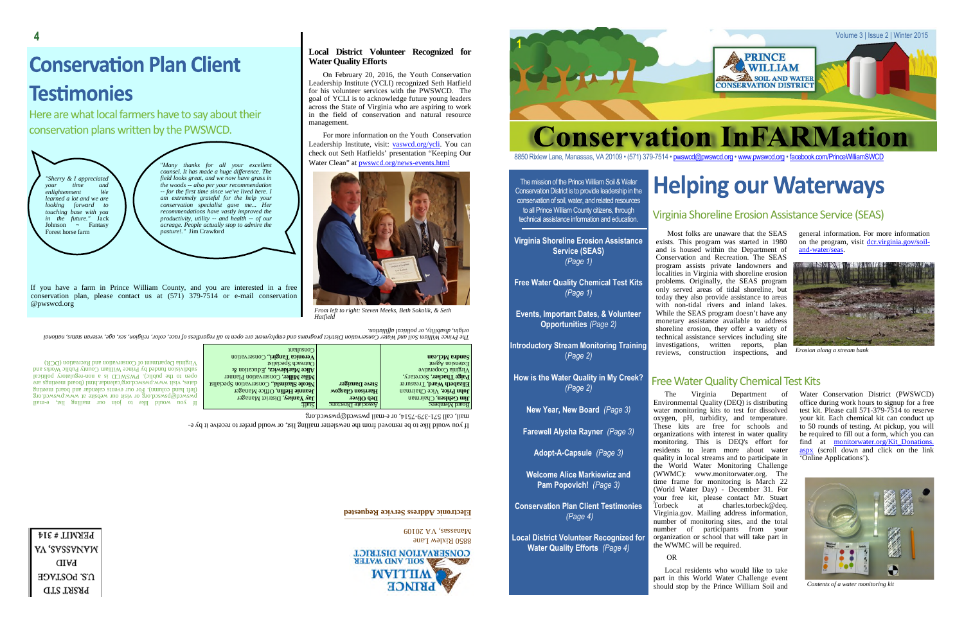#### The mission of the Prince William Soil & Water Conservation District is to provide leadership in the conservation of soil, water, and related resources to all Prince William County citizens, through technical assistance information and education.

**Virginia Shoreline Erosion Assistance Service (SEAS)** *(Page 1)*

**Free Water Quality Chemical Test Kits** *(Page 1)*

**Events, Important Dates, & Volunteer Opportunities** *(Page 2)*

**Introductory Stream Monitoring Training** (*Page 2)*

**How is the Water Quality in My Creek?** *(Page 2)*

**New Year, New Board** *(Page 3)*

**Farewell Alysha Rayner** *(Page 3)*

**Adopt-A-Capsule** *(Page 3)*

**Welcome Alice Markiewicz and Pam Popovich!** *(Page 3)*

**Conservation Plan Client Testimonies** *(Page 4)*

**Local District Volunteer Recognized for Water Quality Efforts** *(Page 4)*

Most folks are unaware that the SEAS exists. This program was started in 1980 and is housed within the Department of Conservation and Recreation. The SEAS program assists private landowners and localities in Virginia with shoreline erosion problems. Originally, the SEAS program only served areas of tidal shoreline, but today they also provide assistance to areas with non-tidal rivers and inland lakes. While the SEAS program doesn't have any monetary assistance available to address shoreline erosion, they offer a variety of technical assistance services including site investigations, written reports, plan reviews, construction inspections, and

general information. For more information on the program, visit dcr.virginia.gov/soiland-water/seas.

The Virginia Department of Environmental Quality ( $DEQ$ ) is distributing water monitoring kits to test for dissolved oxygen, pH, turbidity, and temperature. These kits are free for schools and organizations with interest in water quality monitoring. This is DEQ's effort for residents to learn more about water quality in local streams and to participate in the World Water Monitoring Challenge (WWMC): www.monitorwater.org. The time frame for monitoring is March 22 (World Water Day) - December 31. For your free kit, please contact Mr. Stuart<br>Torbeck at charles.torbeck@dea. at charles.torbeck@deq. Virginia.gov. Mailing address information, number of monitoring sites, and the total number of participants from your organization or school that will take part in the WWMC will be required.

### OR

Local residents who would like to take part in this World Water Challenge event should stop by the Prince William Soil and

# **Helping our Waterways**

Water Conservation District (PWSWCD) office during work hours to signup for a free test kit. Please call 571-379-7514 to reserve your kit. Each chemical kit can conduct up to 50 rounds of testing. At pickup, you will be required to fill out a form, which you can find at <u>monitorwater.org/Kit\_Donations.</u> aspx (scroll down and click on the link 'Online Applications').

*. noit ailiff al acitil op ro, ytili basi d, ni giro*

The Prince William States and Water Conservation Dristrict programs have oppen that the regardiers of rates, color, religion, sex, age, veterian, and the prince and a data and the red and an indication of the red in the re

|                                                               | $\log_{10}$                                        |                         |                                   |
|---------------------------------------------------------------|----------------------------------------------------|-------------------------|-----------------------------------|
|                                                               | <b>Veronica Tangiri</b> ., Conservation            |                         | <b>Gandra McLean</b>              |
| Virginia Department of Conservation and Recreation (DCR)      | $\log$ l Outreach Specialist                       |                         | Extension $\mathrm{Agen}$         |
| subdivision funded by Prince William County Public Works and  | Alice Markiewicz, Education $\alpha$               |                         | Virginia Cooperative              |
| open to the public). PWSWCD is a non-regulatory political     | <b>Mike Miller, Conservation Planner</b>           |                         | Paige Thacker, Secretary,         |
| dates, visit www.pwswcd.org/calendar.html (board meetings are | <b>Nicole Slazinski</b> ., Conservation Specialist | Steve Danziger          | <b>Elizabeth Ward, Treasurer</b>  |
| (left hand column). For our events calendar and board meeting | <b>Leannie Heflin, Office Manager</b>              | <b>Harrison Glasgow</b> | <b>John Price</b> , Vice Chairman |
| gro.bowswq.www is offelow no fiziv to gro.boxwaq@bowswq       | <b>Jay Yankey, District Manager</b>                | Deb Oliver              | <b>Jim Gehlsen</b> , Chairman     |
| If you would like to join our mailing list, e-mail            | :Hsi2                                              | Associate Directors:    | Board Members:                    |

mail, call 571-379-7514, or e-mail pwswed@pwswed.org

If you would like to be removed from the newsletter mailing list, or would prefer to receive it by e-

#### **detronic Adress Service Requested**

RRIVEW Lane  $60107$  AV, assessmall

**CONSERVATION DISTRICT AHIAW CIVAL DISK AND STREET WVITTIM LKIMCE** 

PERMIT#314 VA 'SVSSVNVW **GIFA** U.S. POSTAGE **PRSRT STD** 

## Virginia Shoreline Erosion Assistance Service (SEAS)

## Free Water Quality Chemical Test Kits



*Erosion along a stream bank*



*Contents of a water monitoring kit*

## **Local District Volunteer Recognized for Water Quality Efforts**

On February 20, 2016, the Youth Conservation Leadership Institute (YCLI) recognized Seth Hatfield for his volunteer services with the PWSWCD. The goal of YCLI is to acknowledge future young leaders across the State of Virginia who are aspiring to work in the field of conservation and natural resource management.

For more information on the Youth Conservation Leadership Institute, visit: vaswcd.org/ycli. You can check out Seth Hatfields' presentation "Keeping Our Water Clean" at pwswcd.org/news-events.html



*From left to right: Steven Meeks, Beth Sokolik, & Seth Hatfield*

*"Sherry & I appreciated your time and*  $enlightenment$ *learned a lot and we are looking forward to touching base with you in the future."* Jack<br>Johnson ~ Fantasy  $\sim$  Fantasy Forest horse farm

"*Many thanks for all your excellent counsel. It has made a huge difference. The field looks great, and we now have grass in the woods -- also per your recommendation -- for the first time since we've lived here. I am extremely grateful for the help your conservation specialist gave me... Her recommendations have vastly improved the productivity, utility -- and health -- of our acreage. People actually stop to admire the*

*pasture!."* Jim Crawford

# **Conservation Plan Client Testimonies**

Here are what local farmers have to say about their conservation plans written by the PWSWCD.



8850 Rixlew Lane, Manassas, VA 20109 • (571) 379-7514 • pwswcd@pwswcd.org • www.pwswcd.org • facebook.com/PrinceWilliamSWCD

If you have a farm in Prince William County, and you are interested in a free conservation plan, please contact us at (571) 379-7514 or e-mail conservation @pwswcd.org